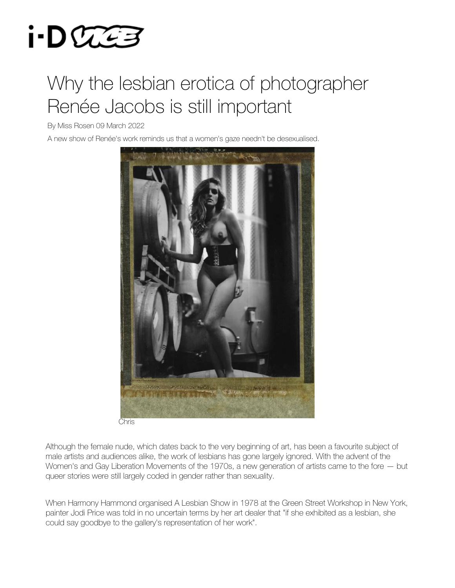

## Why the lesbian erotica of photographer Renée Jacobs is still important

By Miss Rosen 09 March 2022

A new show of Renée's work reminds us that a women's gaze needn't be desexualised.



Chris

Although the female nude, which dates back to the very beginning of art, has been a favourite subject of male artists and audiences alike, the work of lesbians has gone largely ignored. With the advent of the Women's and Gay Liberation Movements of the 1970s, a new generation of artists came to the fore — but queer stories were still largely coded in gender rather than sexuality.

When Harmony Hammond organised A Lesbian Show in 1978 at the Green Street Workshop in New York, painter Jodi Price was told in no uncertain terms by her art dealer that "if she exhibited as a lesbian, she could say goodbye to the gallery's representation of her work".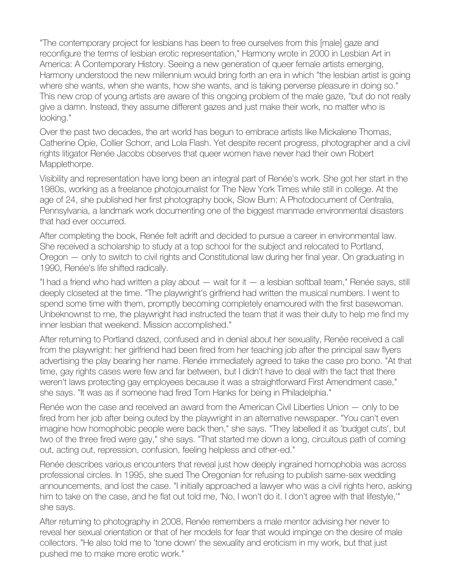"The contemporary project for lesbians has been to free ourselves from this [male] gaze and reconfigure the terms of lesbian erotic representation," Harmony wrote in 2000 in Lesbian Art in America: A Contemporary History. Seeing a new generation of queer female artists emerging, Harmony understood the new millennium would bring forth an era in which "the lesbian artist is going where she wants, when she wants, how she wants, and is taking perverse pleasure in doing so." This new crop of young artists are aware of this ongoing problem of the male gaze, "but do not really give a damn. Instead, they assume different gazes and just make their work, no matter who is looking."

Over the past two decades, the art world has begun to embrace artists like Mickalene Thomas, Catherine Opie, Collier Schorr, and Lola Flash. Yet despite recent progress, photographer and a civil rights litigator Renée Jacobs observes that queer women have never had their own Robert Mapplethorpe.

Visibility and representation have long been an integral part of Renée's work. She got her start in the 1980s, working as a freelance photojournalist for The New York Times while still in college. At the age of 24, she published her first photography book, Slow Burn: A Photodocument of Centralia, Pennsylvania, a landmark work documenting one of the biggest manmade environmental disasters that had ever occurred.

After completing the book, Renée felt adrift and decided to pursue a career in environmental law. She received a scholarship to study at a top school for the subject and relocated to Portland, Oregon — only to switch to civil rights and Constitutional law during her final year. On graduating in 1990, Renée's life shifted radically.

"I had a friend who had written a play about — wait for it — a lesbian softball team," Renée says, still deeply closeted at the time. "The playwright's girlfriend had written the musical numbers. I went to spend some time with them, promptly becoming completely enamoured with the first basewoman. Unbeknownst to me, the playwright had instructed the team that it was their duty to help me find my inner lesbian that weekend. Mission accomplished."

After returning to Portland dazed, confused and in denial about her sexuality, Renée received a call from the playwright: her girlfriend had been fired from her teaching job after the principal saw flyers advertising the play bearing her name. Renée immediately agreed to take the case pro bono. "At that time, gay rights cases were few and far between, but I didn't have to deal with the fact that there weren't laws protecting gay employees because it was a straightforward First Amendment case," she says. "It was as if someone had fired Tom Hanks for being in Philadelphia."

Renée won the case and received an award from the American Civil Liberties Union — only to be fired from her job after being outed by the playwright in an alternative newspaper. "You can't even imagine how homophobic people were back then," she says. "They labelled it as 'budget cuts', but two of the three fired were gay," she says. "That started me down a long, circuitous path of coming out, acting out, repression, confusion, feeling helpless and other-ed."

Renée describes various encounters that reveal just how deeply ingrained homophobia was across professional circles. In 1995, she sued The Oregonian for refusing to publish same-sex wedding announcements, and lost the case. "I initially approached a lawyer who was a civil rights hero, asking him to take on the case, and he flat out told me, 'No, I won't do it. I don't agree with that lifestyle,'" she says.

After returning to photography in 2008, Renée remembers a male mentor advising her never to reveal her sexual orientation or that of her models for fear that would impinge on the desire of male collectors. "He also told me to 'tone down' the sexuality and eroticism in my work, but that just pushed me to make more erotic work."